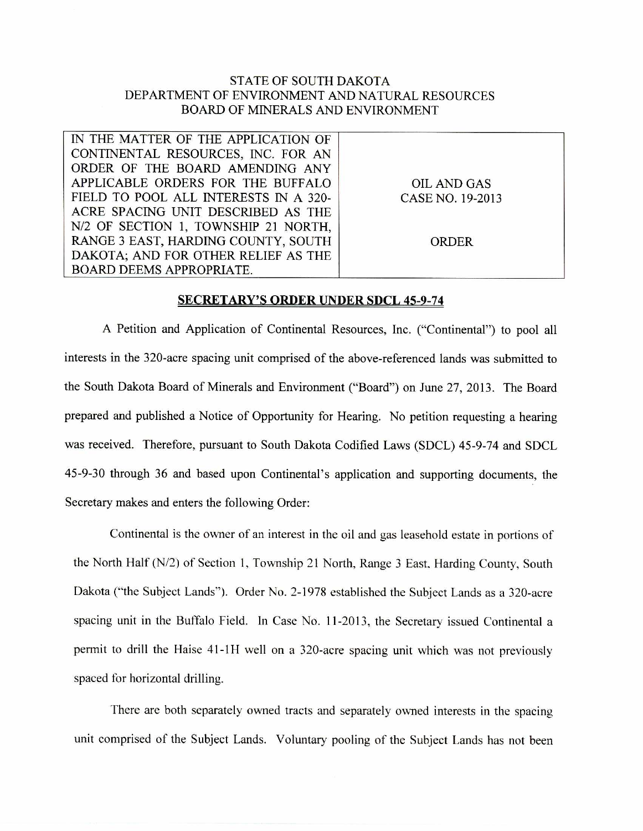## STATE OF SOUTH DAKOTA DEPARTMENT OF ENVIRONMENT AND NATURAL RESOURCES BOARD OF MINERALS AND ENVIRONMENT

IN THE MATTER OF THE APPLICATION OF CONTINENTAL RESOURCES, INC. FOR AN ORDER OF THE BOARD AMENDING ANY APPLICABLE ORDERS FOR THE BUFFALO FIELD TO POOL ALL INTERESTS IN A 320- ACRE SPACING UNIT DESCRIBED AS THE N/2 OF SECTION 1, TOWNSHIP 21 NORTH, RANGE 3 EAST, HARDING COUNTY, SOUTH DAKOTA; AND FOR OTHER RELIEF AS THE BOARD DEEMS APPROPRIATE.

OIL AND GAS CASE NO. 19-2013

ORDER

## SECRETARY'S ORDER UNDER SDCL 45-9-74

A Petition and Application of Continental Resources, Inc. ("Continental") to pool all interests in the 320-acre spacing unit comprised of the above-referenced lands was submitted to the South Dakota Board of Minerals and Environment ("Board") on June 27, 2013. The Board prepared and published a Notice of Opportunity for Hearing. No petition requesting a hearing was received. Therefore, pursuant to South Dakota Codified Laws (SDCL) 45-9-74 and SDCL 45-9-30 through 36 and based upon Continental's application and supporting documents, the Secretary makes and enters the following Order:

Continental is the owner of an interest in the oil and gas leasehold estate in portions of the North Half (N/2) of Section 1, Township 21 North, Range 3 East. Harding County, South Dakota ("the Subject Lands"). Order No. 2-1978 established the Subject Lands as a 320-acre spacing unit in the Buffalo Field. In Case No. 11-2013, the Secretary issued Continental a permit to drill the Raise 41-1H well on a 320-acre spacing unit which was not previously spaced for horizontal drilling.

There are both separately owned tracts and separately owned interests in the spacing unit comprised of the Subject Lands. Voluntary pooling of the Subject Lands has not been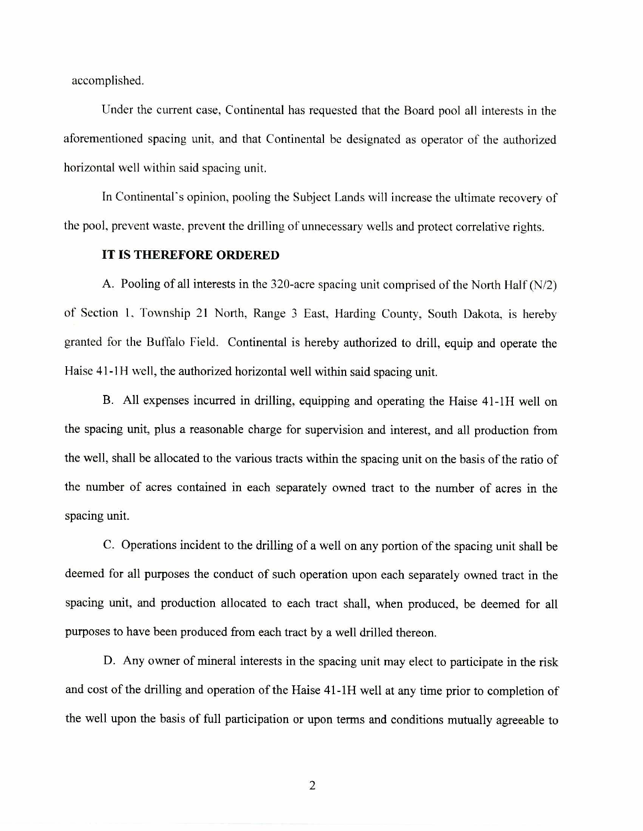accomplished.

Under the current case, Continental has requested that the Board pool all interests in the aforementioned spacing unit, and that Continental be designated as operator of the authorized horizontal well within said spacing unit.

In Continental's opinion, pooling the Subject Lands will increase the ultimate recovery of the pool, prevent waste, prevent the drilling of unnecessary wells and protect correlative rights.

## **IT IS THEREFORE ORDERED**

A. Pooling of all interests in the 320-acre spacing unit comprised of the North Half (N/2) of Section 1. Township 21 North, Range 3 East, Harding County, South Dakota, is hereby granted for the Buffalo Field. Continental is hereby authorized to drill, equip and operate the Haise 41-1H well, the authorized horizontal well within said spacing unit.

B. All expenses incurred in drilling, equipping and operating the Haise 41-1H well on the spacing unit, plus a reasonable charge for supervision and interest, and all production from the well, shall be allocated to the various tracts within the spacing unit on the basis of the ratio of the number of acres contained in each separately owned tract to the number of acres in the spacing unit.

C. Operations incident to the drilling of a well on any portion of the spacing unit shall be deemed for all purposes the conduct of such operation upon each separately owned tract in the spacing unit, and production allocated to each tract shall, when produced, be deemed for all purposes to have been produced from each tract by a well drilled thereon.

D. Any owner of mineral interests in the spacing unit may elect to participate in the risk and cost of the drilling and operation of the Haise 41-1H well at any time prior to completion of the well upon the basis of full participation or upon terms and conditions mutually agreeable to

2